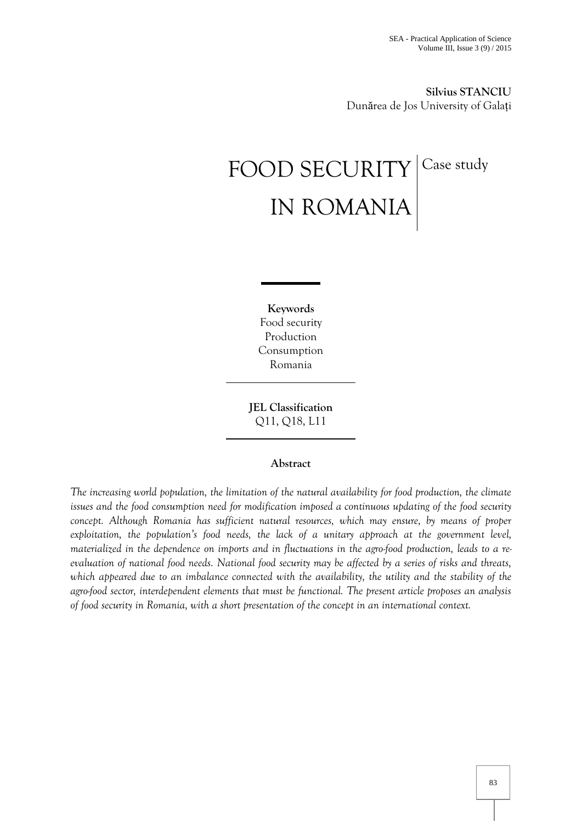**Silvius STANCIU**  Dunărea de Jos University of Galați

# FOOD SECURITY Case study IN ROMANIA

**Keywords** Food security Production Consumption Romania

**JEL Classification** Q11, Q18, L11

## **Abstract**

*The increasing world population, the limitation of the natural availability for food production, the climate issues and the food consumption need for modification imposed a continuous updating of the food security concept. Although Romania has sufficient natural resources, which may ensure, by means of proper exploitation, the population's food needs, the lack of a unitary approach at the government level, materialized in the dependence on imports and in fluctuations in the agro-food production, leads to a reevaluation of national food needs. National food security may be affected by a series of risks and threats, which appeared due to an imbalance connected with the availability, the utility and the stability of the agro-food sector, interdependent elements that must be functional. The present article proposes an analysis of food security in Romania, with a short presentation of the concept in an international context.*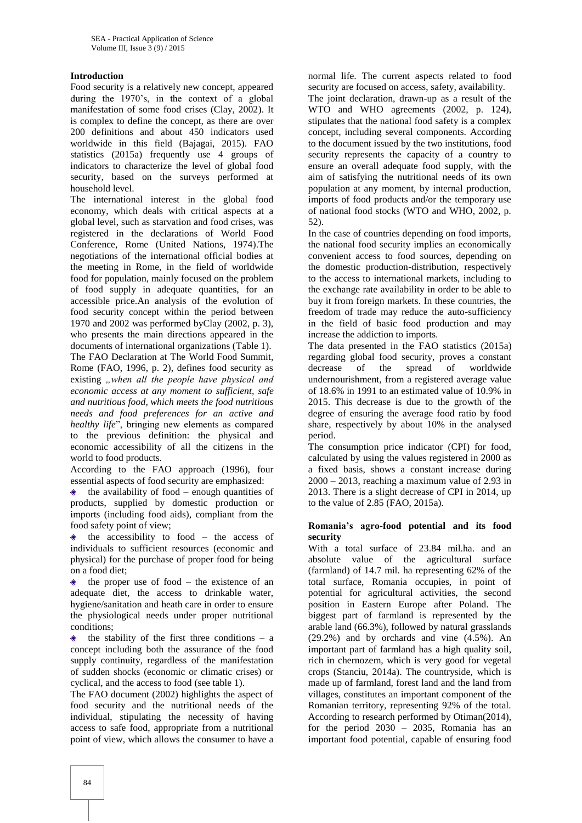## **Introduction**

Food security is a relatively new concept, appeared during the 1970's, in the context of a global manifestation of some food crises (Clay, 2002). It is complex to define the concept, as there are over 200 definitions and about 450 indicators used worldwide in this field (Bajagai, 2015). FAO statistics (2015a) frequently use 4 groups of indicators to characterize the level of global food security, based on the surveys performed at household level.

The international interest in the global food economy, which deals with critical aspects at a global level, such as starvation and food crises, was registered in the declarations of World Food Conference, Rome (United Nations, 1974).The negotiations of the international official bodies at the meeting in Rome, in the field of worldwide food for population, mainly focused on the problem of food supply in adequate quantities, for an accessible price.An analysis of the evolution of food security concept within the period between 1970 and 2002 was performed byClay (2002, p. 3), who presents the main directions appeared in the documents of international organizations (Table 1).

The FAO Declaration at The World Food Summit, Rome (FAO, 1996, p. 2), defines food security as existing "when all the people have physical and *economic access at any moment to sufficient, safe and nutritious food, which meets the food nutritious needs and food preferences for an active and healthy life*", bringing new elements as compared to the previous definition: the physical and economic accessibility of all the citizens in the world to food products.

According to the FAO approach (1996), four essential aspects of food security are emphasized:

the availability of food – enough quantities of products, supplied by domestic production or imports (including food aids), compliant from the food safety point of view;

 $\triangle$  the accessibility to food – the access of individuals to sufficient resources (economic and physical) for the purchase of proper food for being on a food diet;

 $\triangle$  the proper use of food – the existence of an adequate diet, the access to drinkable water, hygiene/sanitation and heath care in order to ensure the physiological needs under proper nutritional conditions;

the stability of the first three conditions  $-$  a  $\color{blue}\blacklozenge$ concept including both the assurance of the food supply continuity, regardless of the manifestation of sudden shocks (economic or climatic crises) or cyclical, and the access to food (see table 1).

The FAO document (2002) highlights the aspect of food security and the nutritional needs of the individual, stipulating the necessity of having access to safe food, appropriate from a nutritional point of view, which allows the consumer to have a normal life. The current aspects related to food security are focused on access, safety, availability. The joint declaration, drawn-up as a result of the WTO and WHO agreements (2002, p. 124), stipulates that the national food safety is a complex concept, including several components. According to the document issued by the two institutions, food security represents the capacity of a country to ensure an overall adequate food supply, with the aim of satisfying the nutritional needs of its own population at any moment, by internal production, imports of food products and/or the temporary use of national food stocks (WTO and WHO, 2002, p. 52).

In the case of countries depending on food imports, the national food security implies an economically convenient access to food sources, depending on the domestic production-distribution, respectively to the access to international markets, including to the exchange rate availability in order to be able to buy it from foreign markets. In these countries, the freedom of trade may reduce the auto-sufficiency in the field of basic food production and may increase the addiction to imports.

The data presented in the FAO statistics (2015a) regarding global food security, proves a constant decrease of the spread of worldwide undernourishment, from a registered average value of 18.6% in 1991 to an estimated value of 10.9% in 2015. This decrease is due to the growth of the degree of ensuring the average food ratio by food share, respectively by about 10% in the analysed period.

The consumption price indicator (CPI) for food, calculated by using the values registered in 2000 as a fixed basis, shows a constant increase during  $2000 - 2013$ , reaching a maximum value of 2.93 in 2013. There is a slight decrease of CPI in 2014, up to the value of 2.85 (FAO, 2015a).

#### **Romania's agro-food potential and its food security**

With a total surface of 23.84 mil.ha. and an absolute value of the agricultural surface (farmland) of 14.7 mil. ha representing 62% of the total surface, Romania occupies, in point of potential for agricultural activities, the second position in Eastern Europe after Poland. The biggest part of farmland is represented by the arable land (66.3%), followed by natural grasslands (29.2%) and by orchards and vine (4.5%). An important part of farmland has a high quality soil, rich in chernozem, which is very good for vegetal crops (Stanciu, 2014a). The countryside, which is made up of farmland, forest land and the land from villages, constitutes an important component of the Romanian territory, representing 92% of the total. According to research performed by Otiman(2014), for the period 2030 – 2035, Romania has an important food potential, capable of ensuring food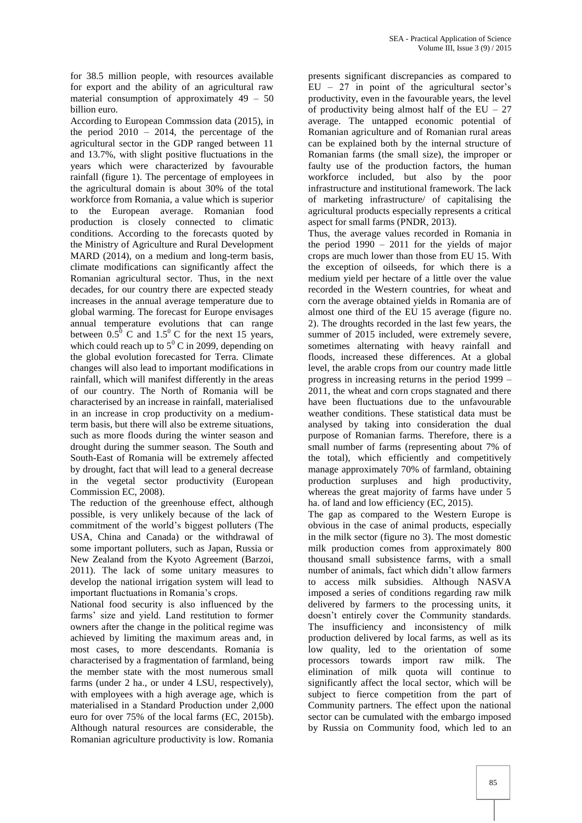for 38.5 million people, with resources available for export and the ability of an agricultural raw material consumption of approximately 49 – 50 billion euro.

According to European Commssion data (2015), in the period  $2010 - 2014$ , the percentage of the agricultural sector in the GDP ranged between 11 and 13.7%, with slight positive fluctuations in the years which were characterized by favourable rainfall (figure 1). The percentage of employees in the agricultural domain is about 30% of the total workforce from Romania, a value which is superior to the European average. Romanian food production is closely connected to climatic conditions. According to the forecasts quoted by the Ministry of Agriculture and Rural Development MARD (2014), on a medium and long-term basis, climate modifications can significantly affect the Romanian agricultural sector. Thus, in the next decades, for our country there are expected steady increases in the annual average temperature due to global warming. The forecast for Europe envisages annual temperature evolutions that can range between  $0.5^{\overline{0}}$  C and  $1.5^{\overline{0}}$  C for the next 15 years, which could reach up to  $5^{\circ}$  C in 2099, depending on the global evolution forecasted for Terra. Climate changes will also lead to important modifications in rainfall, which will manifest differently in the areas of our country. The North of Romania will be characterised by an increase in rainfall, materialised in an increase in crop productivity on a mediumterm basis, but there will also be extreme situations, such as more floods during the winter season and drought during the summer season. The South and South-East of Romania will be extremely affected by drought, fact that will lead to a general decrease in the vegetal sector productivity (European Commission EC, 2008).

The reduction of the greenhouse effect, although possible, is very unlikely because of the lack of commitment of the world's biggest polluters (The USA, China and Canada) or the withdrawal of some important polluters, such as Japan, Russia or New Zealand from the Kyoto Agreement (Barzoi, 2011). The lack of some unitary measures to develop the national irrigation system will lead to important fluctuations in Romania's crops.

National food security is also influenced by the farms' size and yield. Land restitution to former owners after the change in the political regime was achieved by limiting the maximum areas and, in most cases, to more descendants. Romania is characterised by a fragmentation of farmland, being the member state with the most numerous small farms (under 2 ha., or under 4 LSU, respectively), with employees with a high average age, which is materialised in a Standard Production under 2,000 euro for over 75% of the local farms (EC, 2015b). Although natural resources are considerable, the Romanian agriculture productivity is low. Romania presents significant discrepancies as compared to  $EU - 27$  in point of the agricultural sector's productivity, even in the favourable years, the level of productivity being almost half of the  $EU - 27$ average. The untapped economic potential of Romanian agriculture and of Romanian rural areas can be explained both by the internal structure of Romanian farms (the small size), the improper or faulty use of the production factors, the human workforce included, but also by the poor infrastructure and institutional framework. The lack of marketing infrastructure/ of capitalising the agricultural products especially represents a critical aspect for small farms (PNDR, 2013).

Thus, the average values recorded in Romania in the period 1990 – 2011 for the yields of major crops are much lower than those from EU 15. With the exception of oilseeds, for which there is a medium yield per hectare of a little over the value recorded in the Western countries, for wheat and corn the average obtained yields in Romania are of almost one third of the EU 15 average (figure no. 2). The droughts recorded in the last few years, the summer of 2015 included, were extremely severe, sometimes alternating with heavy rainfall and floods, increased these differences. At a global level, the arable crops from our country made little progress in increasing returns in the period 1999 – 2011, the wheat and corn crops stagnated and there have been fluctuations due to the unfavourable weather conditions. These statistical data must be analysed by taking into consideration the dual purpose of Romanian farms. Therefore, there is a small number of farms (representing about 7% of the total), which efficiently and competitively manage approximately 70% of farmland, obtaining production surpluses and high productivity, whereas the great majority of farms have under 5 ha. of land and low efficiency (EC, 2015).

The gap as compared to the Western Europe is obvious in the case of animal products, especially in the milk sector (figure no 3). The most domestic milk production comes from approximately 800 thousand small subsistence farms, with a small number of animals, fact which didn't allow farmers to access milk subsidies. Although NASVA imposed a series of conditions regarding raw milk delivered by farmers to the processing units, it doesn't entirely cover the Community standards. The insufficiency and inconsistency of milk production delivered by local farms, as well as its low quality, led to the orientation of some processors towards import raw milk. The elimination of milk quota will continue to significantly affect the local sector, which will be subject to fierce competition from the part of Community partners. The effect upon the national sector can be cumulated with the embargo imposed by Russia on Community food, which led to an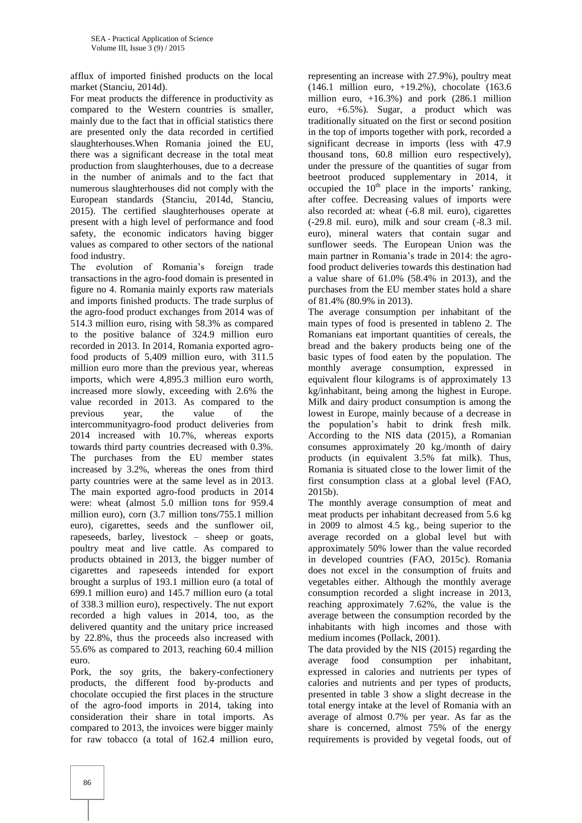afflux of imported finished products on the local market (Stanciu, 2014d).

For meat products the difference in productivity as compared to the Western countries is smaller, mainly due to the fact that in official statistics there are presented only the data recorded in certified slaughterhouses.When Romania joined the EU, there was a significant decrease in the total meat production from slaughterhouses, due to a decrease in the number of animals and to the fact that numerous slaughterhouses did not comply with the European standards (Stanciu, 2014d, Stanciu, 2015). The certified slaughterhouses operate at present with a high level of performance and food safety, the economic indicators having bigger values as compared to other sectors of the national food industry.

The evolution of Romania's foreign trade transactions in the agro-food domain is presented in figure no 4. Romania mainly exports raw materials and imports finished products. The trade surplus of the agro-food product exchanges from 2014 was of 514.3 million euro, rising with 58.3% as compared to the positive balance of 324.9 million euro recorded in 2013. In 2014, Romania exported agrofood products of 5,409 million euro, with 311.5 million euro more than the previous year, whereas imports, which were 4,895.3 million euro worth, increased more slowly, exceeding with 2.6% the value recorded in 2013. As compared to the previous year, the value of the intercommunityagro-food product deliveries from 2014 increased with 10.7%, whereas exports towards third party countries decreased with 0.3%. The purchases from the EU member states increased by 3.2%, whereas the ones from third party countries were at the same level as in 2013. The main exported agro-food products in 2014 were: wheat (almost 5.0 million tons for 959.4 million euro), corn (3.7 million tons/755.1 million euro), cigarettes, seeds and the sunflower oil, rapeseeds, barley, livestock – sheep or goats, poultry meat and live cattle. As compared to products obtained in 2013, the bigger number of cigarettes and rapeseeds intended for export brought a surplus of 193.1 million euro (a total of 699.1 million euro) and 145.7 million euro (a total of 338.3 million euro), respectively. The nut export recorded a high values in 2014, too, as the delivered quantity and the unitary price increased by 22.8%, thus the proceeds also increased with 55.6% as compared to 2013, reaching 60.4 million euro.

Pork, the soy grits, the bakery-confectionery products, the different food by-products and chocolate occupied the first places in the structure of the agro-food imports in 2014, taking into consideration their share in total imports. As compared to 2013, the invoices were bigger mainly for raw tobacco (a total of 162.4 million euro,

representing an increase with 27.9%), poultry meat (146.1 million euro, +19.2%), chocolate (163.6 million euro,  $+16.3\%$ ) and pork (286.1 million euro, +6.5%). Sugar, a product which was traditionally situated on the first or second position in the top of imports together with pork, recorded a significant decrease in imports (less with 47.9 thousand tons, 60.8 million euro respectively), under the pressure of the quantities of sugar from beetroot produced supplementary in 2014, it occupied the  $10<sup>th</sup>$  place in the imports' ranking, after coffee. Decreasing values of imports were also recorded at: wheat (-6.8 mil. euro), cigarettes (-29.8 mil. euro), milk and sour cream (-8.3 mil. euro), mineral waters that contain sugar and sunflower seeds. The European Union was the main partner in Romania's trade in 2014: the agrofood product deliveries towards this destination had a value share of 61.0% (58.4% in 2013), and the purchases from the EU member states hold a share of 81.4% (80.9% in 2013).

The average consumption per inhabitant of the main types of food is presented in tableno 2. The Romanians eat important quantities of cereals, the bread and the bakery products being one of the basic types of food eaten by the population. The monthly average consumption, expressed in equivalent flour kilograms is of approximately 13 kg/inhabitant, being among the highest in Europe. Milk and dairy product consumption is among the lowest in Europe, mainly because of a decrease in the population's habit to drink fresh milk. According to the NIS data (2015), a Romanian consumes approximately 20 kg./month of dairy products (in equivalent 3.5% fat milk). Thus, Romania is situated close to the lower limit of the first consumption class at a global level (FAO, 2015b).

The monthly average consumption of meat and meat products per inhabitant decreased from 5.6 kg in 2009 to almost 4.5 kg., being superior to the average recorded on a global level but with approximately 50% lower than the value recorded in developed countries (FAO, 2015c). Romania does not excel in the consumption of fruits and vegetables either. Although the monthly average consumption recorded a slight increase in 2013, reaching approximately 7.62%, the value is the average between the consumption recorded by the inhabitants with high incomes and those with medium incomes (Pollack, 2001).

The data provided by the NIS (2015) regarding the average food consumption per inhabitant, expressed in calories and nutrients per types of calories and nutrients and per types of products, presented in table 3 show a slight decrease in the total energy intake at the level of Romania with an average of almost 0.7% per year. As far as the share is concerned, almost 75% of the energy requirements is provided by vegetal foods, out of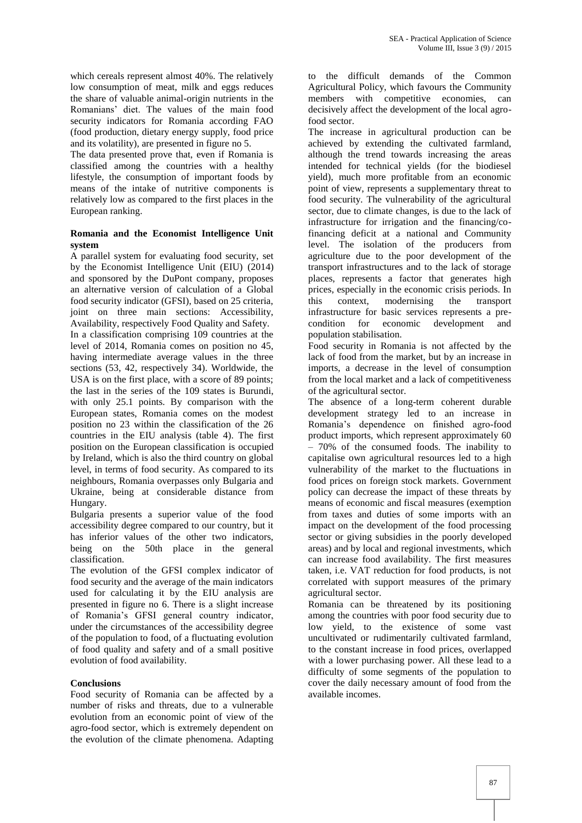which cereals represent almost 40%. The relatively low consumption of meat, milk and eggs reduces the share of valuable animal-origin nutrients in the Romanians' diet. The values of the main food security indicators for Romania according FAO (food production, dietary energy supply, food price and its volatility), are presented in figure no 5.

The data presented prove that, even if Romania is classified among the countries with a healthy lifestyle, the consumption of important foods by means of the intake of nutritive components is relatively low as compared to the first places in the European ranking.

#### **Romania and the Economist Intelligence Unit system**

A parallel system for evaluating food security, set by the Economist Intelligence Unit (EIU) (2014) and sponsored by the DuPont company, proposes an alternative version of calculation of a Global food security indicator (GFSI), based on 25 criteria, joint on three main sections: Accessibility, Availability, respectively Food Quality and Safety. In a classification comprising 109 countries at the level of 2014, Romania comes on position no 45, having intermediate average values in the three sections (53, 42, respectively 34). Worldwide, the USA is on the first place, with a score of 89 points; the last in the series of the 109 states is Burundi, with only 25.1 points. By comparison with the European states, Romania comes on the modest position no 23 within the classification of the 26 countries in the EIU analysis (table 4). The first position on the European classification is occupied by Ireland, which is also the third country on global level, in terms of food security. As compared to its neighbours, Romania overpasses only Bulgaria and Ukraine, being at considerable distance from Hungary.

Bulgaria presents a superior value of the food accessibility degree compared to our country, but it has inferior values of the other two indicators, being on the 50th place in the general classification.

The evolution of the GFSI complex indicator of food security and the average of the main indicators used for calculating it by the EIU analysis are presented in figure no 6. There is a slight increase of Romania's GFSI general country indicator, under the circumstances of the accessibility degree of the population to food, of a fluctuating evolution of food quality and safety and of a small positive evolution of food availability.

## **Conclusions**

Food security of Romania can be affected by a number of risks and threats, due to a vulnerable evolution from an economic point of view of the agro-food sector, which is extremely dependent on the evolution of the climate phenomena. Adapting to the difficult demands of the Common Agricultural Policy, which favours the Community members with competitive economies, can decisively affect the development of the local agrofood sector.

The increase in agricultural production can be achieved by extending the cultivated farmland, although the trend towards increasing the areas intended for technical yields (for the biodiesel yield), much more profitable from an economic point of view, represents a supplementary threat to food security. The vulnerability of the agricultural sector, due to climate changes, is due to the lack of infrastructure for irrigation and the financing/cofinancing deficit at a national and Community level. The isolation of the producers from agriculture due to the poor development of the transport infrastructures and to the lack of storage places, represents a factor that generates high prices, especially in the economic crisis periods. In this context, modernising the transport infrastructure for basic services represents a precondition for economic development and population stabilisation.

Food security in Romania is not affected by the lack of food from the market, but by an increase in imports, a decrease in the level of consumption from the local market and a lack of competitiveness of the agricultural sector.

The absence of a long-term coherent durable development strategy led to an increase in Romania's dependence on finished agro-food product imports, which represent approximately 60 – 70% of the consumed foods. The inability to capitalise own agricultural resources led to a high vulnerability of the market to the fluctuations in food prices on foreign stock markets. Government policy can decrease the impact of these threats by means of economic and fiscal measures (exemption from taxes and duties of some imports with an impact on the development of the food processing sector or giving subsidies in the poorly developed areas) and by local and regional investments, which can increase food availability. The first measures taken, i.e. VAT reduction for food products, is not correlated with support measures of the primary agricultural sector.

Romania can be threatened by its positioning among the countries with poor food security due to low yield, to the existence of some vast uncultivated or rudimentarily cultivated farmland, to the constant increase in food prices, overlapped with a lower purchasing power. All these lead to a difficulty of some segments of the population to cover the daily necessary amount of food from the available incomes.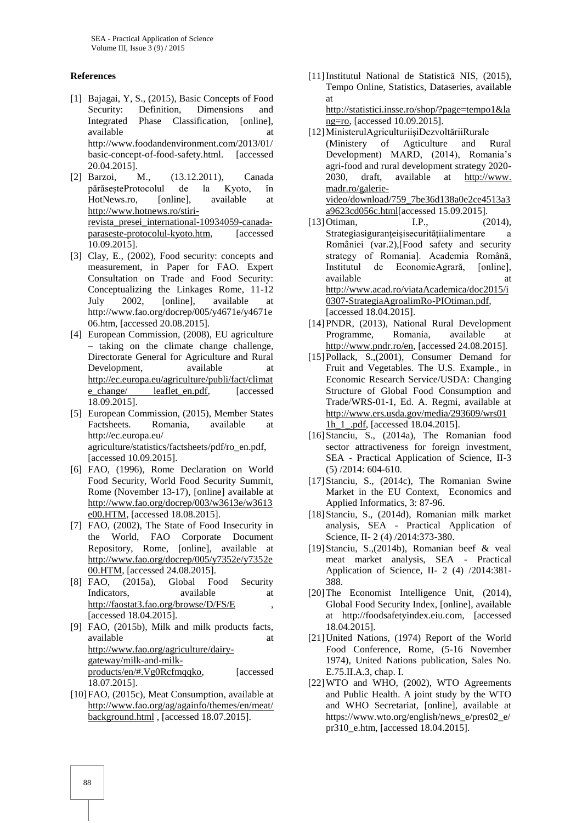#### **References**

- [1] Bajagai, Y, S., (2015), Basic Concepts of Food Security: Definition, Dimensions and Integrated Phase Classification, [online]. available at a state at a state at a state at a state at a state at a state at a state at a state at a state at  $\alpha$ http://www.foodandenvironment.com/2013/01/ basic-concept-of-food-safety.html. [accessed 20.04.2015].
- [2] Barzoi, M., (13.12.2011), Canada părăseșteProtocolul de la Kyoto, în HotNews.ro, [online], available at [http://www.hotnews.ro/stiri](http://www.hotnews.ro/stiri-revista_presei_international-10934059-canada-paraseste-protocolul-kyoto.htm)[revista\\_presei\\_international-10934059-canada](http://www.hotnews.ro/stiri-revista_presei_international-10934059-canada-paraseste-protocolul-kyoto.htm)[paraseste-protocolul-kyoto.htm,](http://www.hotnews.ro/stiri-revista_presei_international-10934059-canada-paraseste-protocolul-kyoto.htm) [accessed 10.09.2015].
- [3] Clay, E., (2002), Food security: concepts and measurement, in Paper for FAO. Expert Consultation on Trade and Food Security: Conceptualizing the Linkages Rome, 11-12 July 2002, [online], available at http://www.fao.org/docrep/005/y4671e/y4671e 06.htm, [accessed 20.08.2015].
- [4] European Commission, (2008), EU agriculture – taking on the climate change challenge, Directorate General for Agriculture and Rural Development, available at [http://ec.europa.eu/agriculture/publi/fact/climat](http://ec.europa.eu/agriculture/publi/fact/climate_change/%20leaflet_en.pdf) [e\\_change/ leaflet\\_en.pdf,](http://ec.europa.eu/agriculture/publi/fact/climate_change/%20leaflet_en.pdf) [accessed 18.09.2015].
- [5] European Commission, (2015), Member States Factsheets. Romania, available at http://ec.europa.eu/ agriculture/statistics/factsheets/pdf/ro\_en.pdf, [accessed 10.09.2015].
- [6] FAO, (1996), Rome Declaration on World Food Security, World Food Security Summit, Rome (November 13-17), [online] available at [http://www.fao.org/docrep/003/w3613e/w3613](http://www.fao.org/docrep/003/w3613e/w3613e00.HTM) [e00.HTM,](http://www.fao.org/docrep/003/w3613e/w3613e00.HTM) [accessed 18.08.2015].
- [7] FAO, (2002), The State of Food Insecurity in the World, FAO Corporate Document Repository, Rome, [online], available at [http://www.fao.org/docrep/005/y7352e/y7352e](http://www.fao.org/docrep/005/y7352e/y7352e00.HTM) [00.HTM,](http://www.fao.org/docrep/005/y7352e/y7352e00.HTM) [accessed 24.08.2015].
- [8] FAO, (2015a), Global Food Security Indicators, available at <http://faostat3.fao.org/browse/D/FS/E> , [accessed 18.04.2015].
- [9] FAO, (2015b), Milk and milk products facts, available at a state at a state of  $\alpha$  at a state at a state  $\alpha$  at a state  $\alpha$ [http://www.fao.org/agriculture/dairy](http://www.fao.org/agriculture/dairy-gateway/milk-and-milk-products/en/#.Vg0Rcfmqqko)[gateway/milk-and-milk](http://www.fao.org/agriculture/dairy-gateway/milk-and-milk-products/en/#.Vg0Rcfmqqko)[products/en/#.Vg0Rcfmqqko,](http://www.fao.org/agriculture/dairy-gateway/milk-and-milk-products/en/#.Vg0Rcfmqqko) [accessed 18.07.2015].
- [10]FAO, (2015c), Meat Consumption, available at [http://www.fao.org/ag/againfo/themes/en/meat/](http://www.fao.org/ag/againfo/themes/en/meat/%20background.html)  [background.html](http://www.fao.org/ag/againfo/themes/en/meat/%20background.html) , [accessed 18.07.2015].
- [11]Institutul National de Statistică NIS, (2015), Tempo Online, Statistics, Dataseries, available at [http://statistici.insse.ro/shop/?page=tempo1&la](http://statistici.insse.ro/shop/?page=tempo1&lang=ro) [ng=ro,](http://statistici.insse.ro/shop/?page=tempo1&lang=ro) [accessed 10.09.2015].
- [12]MinisterulAgriculturiişiDezvoltăriiRurale (Ministery of Agticulture and Rural Development) MARD, (2014), Romania's agri-food and rural development strategy 2020- 2030, draft, available at http://www. madr.ro/galerievideo/download/759\_7be36d138a0e2ce4513a3 a9623cd056c.html[accessed 15.09.2015].
- [13] Otiman, I.P., (2014), Strategiasiguranteisisecuritățiialimentare a României (var.2),[Food safety and security strategy of Romania]. Academia Română, Institutul de EconomieAgrară, [online], available at a state at a state at a state at a state at a state at a state at a state at a state at a state at  $\alpha$ [http://www.acad.ro/viataAcademica/doc2015/i](http://www.acad.ro/viataAcademica/doc2015/i0307-StrategiaAgroalimRo-PIOtiman.pdf) [0307-StrategiaAgroalimRo-PIOtiman.pdf,](http://www.acad.ro/viataAcademica/doc2015/i0307-StrategiaAgroalimRo-PIOtiman.pdf)  [accessed 18.04.2015].
- [14]PNDR, (2013), National Rural Development Programme, Romania, available at [http://www.pndr.ro/en,](http://www.pndr.ro/en) [accessed 24.08.2015].
- [15]Pollack, S.,(2001), Consumer Demand for Fruit and Vegetables. The U.S. Example., in Economic Research Service/USDA: Changing Structure of Global Food Consumption and Trade/WRS-01-1, Ed. A. Regmi, available at [http://www.ers.usda.gov/media/293609/wrs01](http://www.ers.usda.gov/media/293609/wrs011h_1_.pdf) [1h\\_1\\_.pdf,](http://www.ers.usda.gov/media/293609/wrs011h_1_.pdf) [accessed 18.04.2015].
- [16] Stanciu, S., (2014a), The Romanian food sector attractiveness for foreign investment, SEA - Practical Application of Science, II-3 (5) /2014: 604-610.
- [17]Stanciu, S., (2014c), The Romanian Swine Market in the EU Context, Economics and Applied Informatics, 3: 87-96.
- [18]Stanciu, S., (2014d), Romanian milk market analysis, SEA - Practical Application of Science, II- 2 (4) /2014:373-380.
- [19]Stanciu, S.,(2014b), Romanian beef & veal meat market analysis, SEA - Practical Application of Science, II- 2 (4) /2014:381- 388.
- [20]The Economist Intelligence Unit, (2014), Global Food Security Index, [online], available at http://foodsafetyindex.eiu.com, [accessed 18.04.2015].
- [21]United Nations, (1974) Report of the World Food Conference, Rome, (5-16 November 1974), United Nations publication, Sales No. E.75.II.A.3, chap. I.
- [22]WTO and WHO, (2002), WTO Agreements and Public Health. A joint study by the WTO and WHO Secretariat, [online], available at https://www.wto.org/english/news\_e/pres02\_e/ pr310\_e.htm, [accessed 18.04.2015].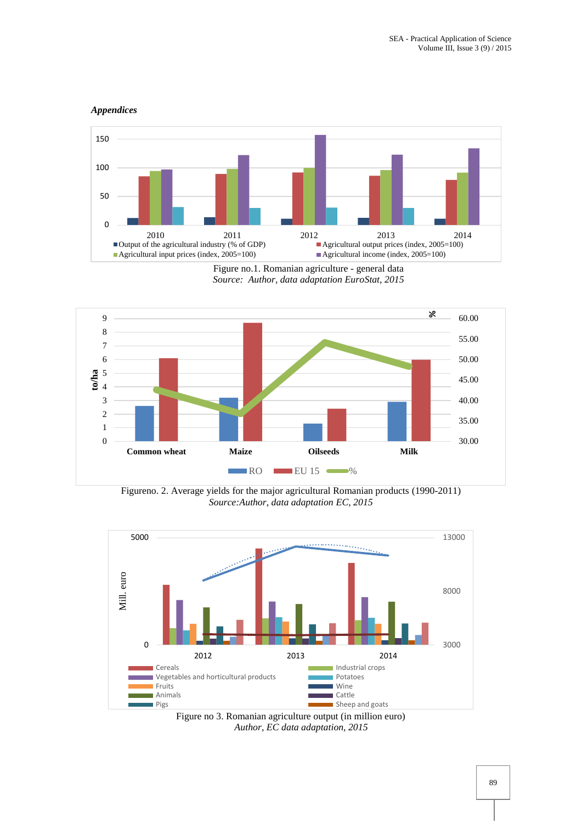#### *Appendices*



Figure no.1. Romanian agriculture - general data *Source: Author, data adaptation EuroStat, 2015*



Figureno. 2. Average yields for the major agricultural Romanian products (1990-2011) *Source:Author, data adaptation EC, 2015*



Figure no 3. Romanian agriculture output (in million euro) *Author, EC data adaptation, 2015*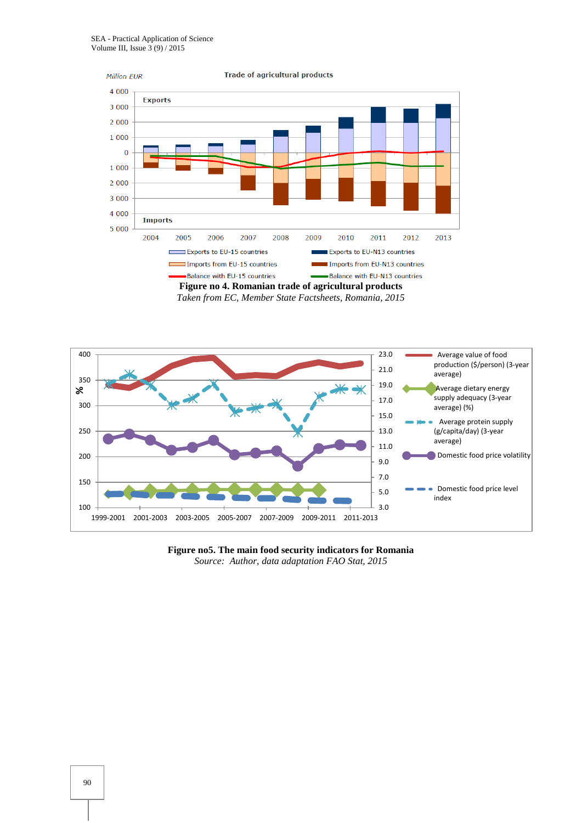

*Taken from EC, Member State Factsheets, Romania, 2015*



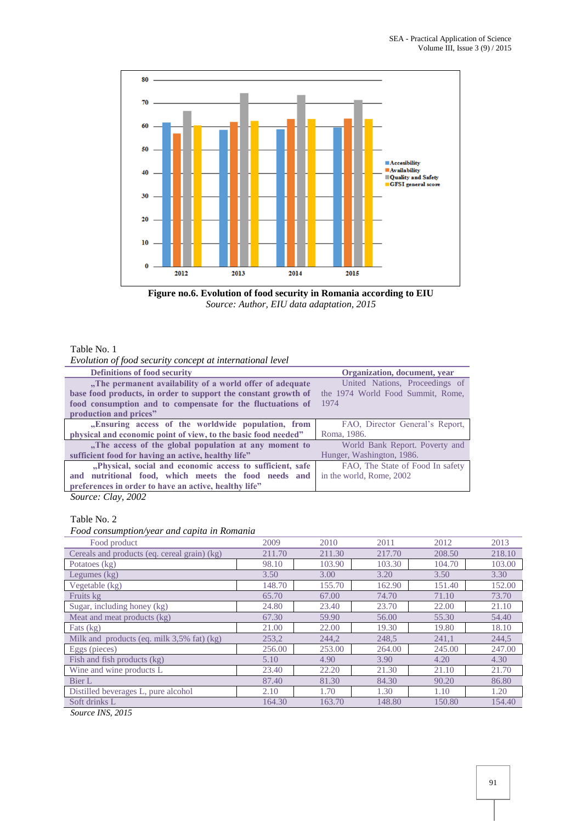

**Figure no.6. Evolution of food security in Romania according to EIU** *Source: Author, EIU data adaptation, 2015*

## Table No. 1

*Evolution of food security concept at international level*

| <b>Definitions of food security</b>                            | Organization, document, year      |  |  |  |
|----------------------------------------------------------------|-----------------------------------|--|--|--|
| "The permanent availability of a world offer of adequate       | United Nations, Proceedings of    |  |  |  |
| base food products, in order to support the constant growth of | the 1974 World Food Summit, Rome, |  |  |  |
| food consumption and to compensate for the fluctuations of     | 1974                              |  |  |  |
| production and prices"                                         |                                   |  |  |  |
| "Ensuring access of the worldwide population, from             | FAO, Director General's Report,   |  |  |  |
| physical and economic point of view, to the basic food needed" | Roma, 1986.                       |  |  |  |
| "The access of the global population at any moment to          | World Bank Report. Poverty and    |  |  |  |
| sufficient food for having an active, healthy life"            | Hunger, Washington, 1986.         |  |  |  |
| "Physical, social and economic access to sufficient, safe      | FAO, The State of Food In safety  |  |  |  |
| and nutritional food, which meets the food needs and           | in the world, Rome, 2002          |  |  |  |
| preferences in order to have an active, healthy life"          |                                   |  |  |  |

*Source: Clay, 2002*

## Table No. 2

*Food consumption/year and capita in Romania*

| Food product                                 | 2009   | 2010   | 2011   | 2012   | 2013   |
|----------------------------------------------|--------|--------|--------|--------|--------|
| Cereals and products (eq. cereal grain) (kg) | 211.70 | 211.30 | 217.70 | 208.50 | 218.10 |
| Potatoes (kg)                                | 98.10  | 103.90 | 103.30 | 104.70 | 103.00 |
| Legumes $(kg)$                               | 3.50   | 3.00   | 3.20   | 3.50   | 3.30   |
| Vegetable (kg)                               | 148.70 | 155.70 | 162.90 | 151.40 | 152.00 |
| Fruits kg                                    | 65.70  | 67.00  | 74.70  | 71.10  | 73.70  |
| Sugar, including honey (kg)                  | 24.80  | 23.40  | 23.70  | 22.00  | 21.10  |
| Meat and meat products (kg)                  | 67.30  | 59.90  | 56.00  | 55.30  | 54.40  |
| Fats (kg)                                    | 21.00  | 22.00  | 19.30  | 19.80  | 18.10  |
| Milk and products (eq. milk 3,5% fat) (kg)   | 253,2  | 244,2  | 248,5  | 241,1  | 244,5  |
| Eggs (pieces)                                | 256.00 | 253.00 | 264.00 | 245.00 | 247.00 |
| Fish and fish products (kg)                  | 5.10   | 4.90   | 3.90   | 4.20   | 4.30   |
| Wine and wine products L                     | 23.40  | 22.20  | 21.30  | 21.10  | 21.70  |
| Bier L                                       | 87.40  | 81.30  | 84.30  | 90.20  | 86.80  |
| Distilled beverages L, pure alcohol          | 2.10   | 1.70   | 1.30   | 1.10   | 1.20   |
| Soft drinks L                                | 164.30 | 163.70 | 148.80 | 150.80 | 154.40 |
| $\mathbf{v}$                                 |        |        |        |        |        |

*Source INS, 2015*